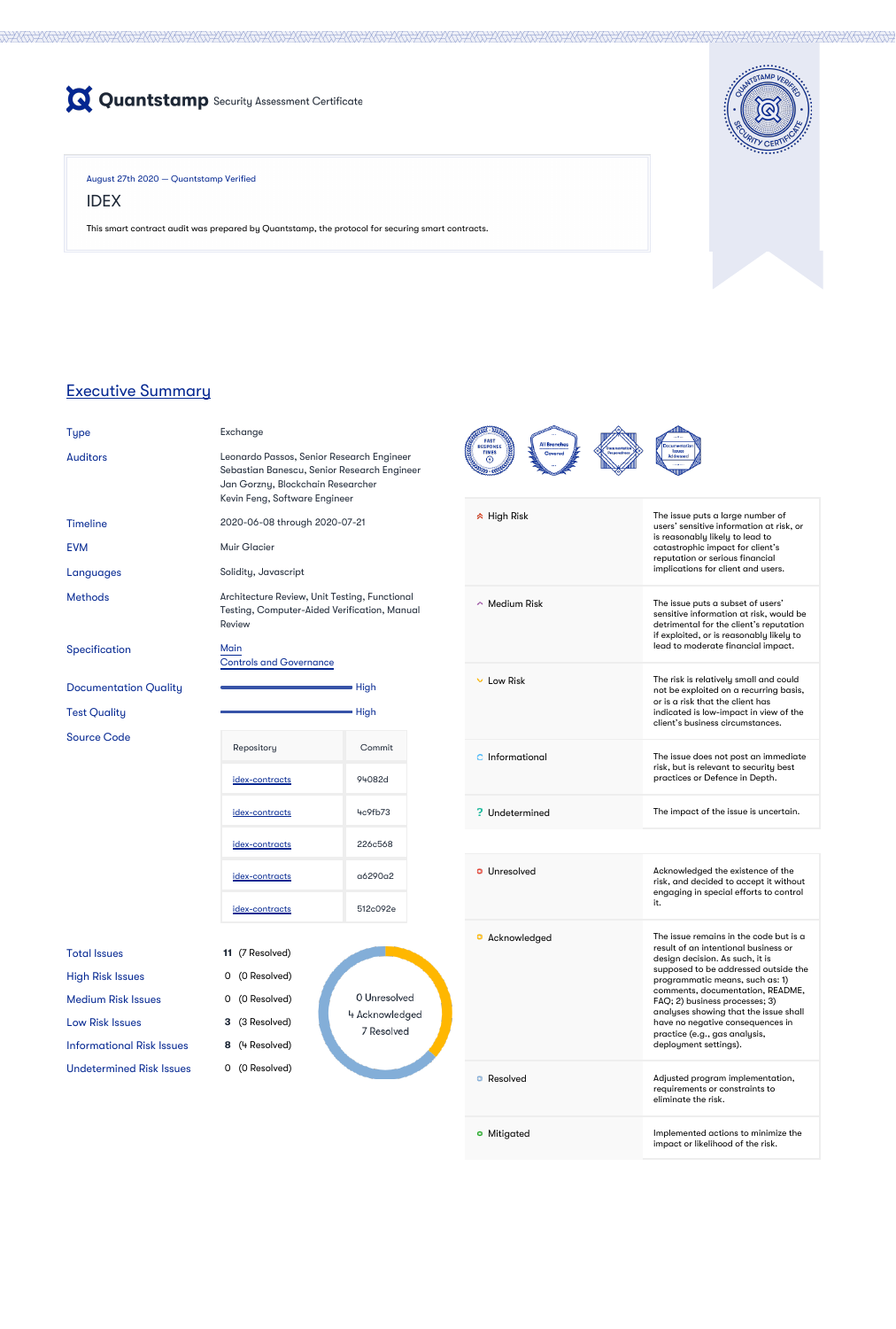

August 27th 2020 — Quantstamp Verified

IDEX

This smart contract audit was prepared by Quantstamp, the protocol for securing smart contracts.



# Executive Summary

Leonardo Passos, Senior Research Engineer Sebastian Banescu, Senior Research Engineer Jan Gorzny, Blockchain Researcher



### **Timeline**

**EVM** 

Languages

Methods

Specification

**Documentation Quality** 

**Test Quality** 

| <b>Type</b>     | Exchange                |
|-----------------|-------------------------|
| <b>Auditors</b> | Leonardo I<br>Sebastian |
|                 | Jan Gorzn               |

0 (0 Resolved) Low Risk Issues **3** (3 Resolved)

0 Unresolved 4 Acknowledged 7 Resolved

| <u>uun Ourzhy, biockchuin Keseurchei</u><br>Kevin Feng, Software Engineer                                      |        |  |  |  |
|----------------------------------------------------------------------------------------------------------------|--------|--|--|--|
| 2020-06-08 through 2020-07-21                                                                                  |        |  |  |  |
| <b>Muir Glacier</b>                                                                                            |        |  |  |  |
| Solidity, Javascript                                                                                           |        |  |  |  |
| Architecture Review, Unit Testing, Functional<br>Testing, Computer-Aided Verification, Manual<br><b>Review</b> |        |  |  |  |
| Main<br><b>Controls and Governance</b>                                                                         |        |  |  |  |
|                                                                                                                | High   |  |  |  |
|                                                                                                                | High   |  |  |  |
| Repository                                                                                                     | Commit |  |  |  |
| <u>idex-contracts</u>                                                                                          | 94082d |  |  |  |
| 4c9fb73<br><u>idex-contracts</u>                                                                               |        |  |  |  |
| 226c568<br><u>idex-contracts</u>                                                                               |        |  |  |  |
| a6290a2<br><u>idex-contracts</u>                                                                               |        |  |  |  |
| 512c092e<br><u>idex-contracts</u>                                                                              |        |  |  |  |
|                                                                                                                |        |  |  |  |

| <b>Total Issues</b> |  |  |
|---------------------|--|--|
|                     |  |  |

High Risk Issues 0 (0 Resolved)

**11** (7 Resolved)

Source Code

Informational Risk Issues **8** (4 Resolved)

Undetermined Risk Issues 0 (0 Resolved)

| High Risk     | The issue puts a large number of<br>users' sensitive information at risk, or<br>is reasonably likely to lead to<br>catastrophic impact for client's<br>reputation or serious financial<br>implications for client and users. |
|---------------|------------------------------------------------------------------------------------------------------------------------------------------------------------------------------------------------------------------------------|
| Medium Risk   | The issue puts a subset of users'<br>sensitive information at risk, would be<br>detrimental for the client's reputation<br>if exploited, or is reasonably likely to<br>lead to moderate financial impact.                    |
| Low Risk      | The risk is relatively small and could<br>not be exploited on a recurring basis,<br>or is a risk that the client has<br>indicated is low-impact in view of the<br>client's business circumstances.                           |
| Informational | The issue does not post an immediate<br>risk, but is relevant to security best<br>practices or Defence in Depth.                                                                                                             |
| Undetermined  | The impact of the issue is uncertain.                                                                                                                                                                                        |
|               |                                                                                                                                                                                                                              |
| Unresolved    | Acknowledged the existence of the<br>risk, and decided to accept it without<br>engaging in special efforts to control<br>it.                                                                                                 |
| Acknowledged  | The issue remains in the code but is a<br>result of an intentional business or<br>design decision. As such, it is<br>supposed to be addressed outside the                                                                    |

| <b>Medium Risk Issues</b> |  |  |
|---------------------------|--|--|
|---------------------------|--|--|

it. programmatic means, such as: 1) comments, documentation, README,

|           | FAQ; 2) business processes; 3)<br>analyses showing that the issue shall<br>have no negative consequences in<br>practice (e.g., gas analysis,<br>deployment settings). |
|-----------|-----------------------------------------------------------------------------------------------------------------------------------------------------------------------|
| Resolved  | Adjusted program implementation,<br>requirements or constraints to<br>eliminate the risk.                                                                             |
| Mitigated | Implemented actions to minimize the<br>impact or likelihood of the risk.                                                                                              |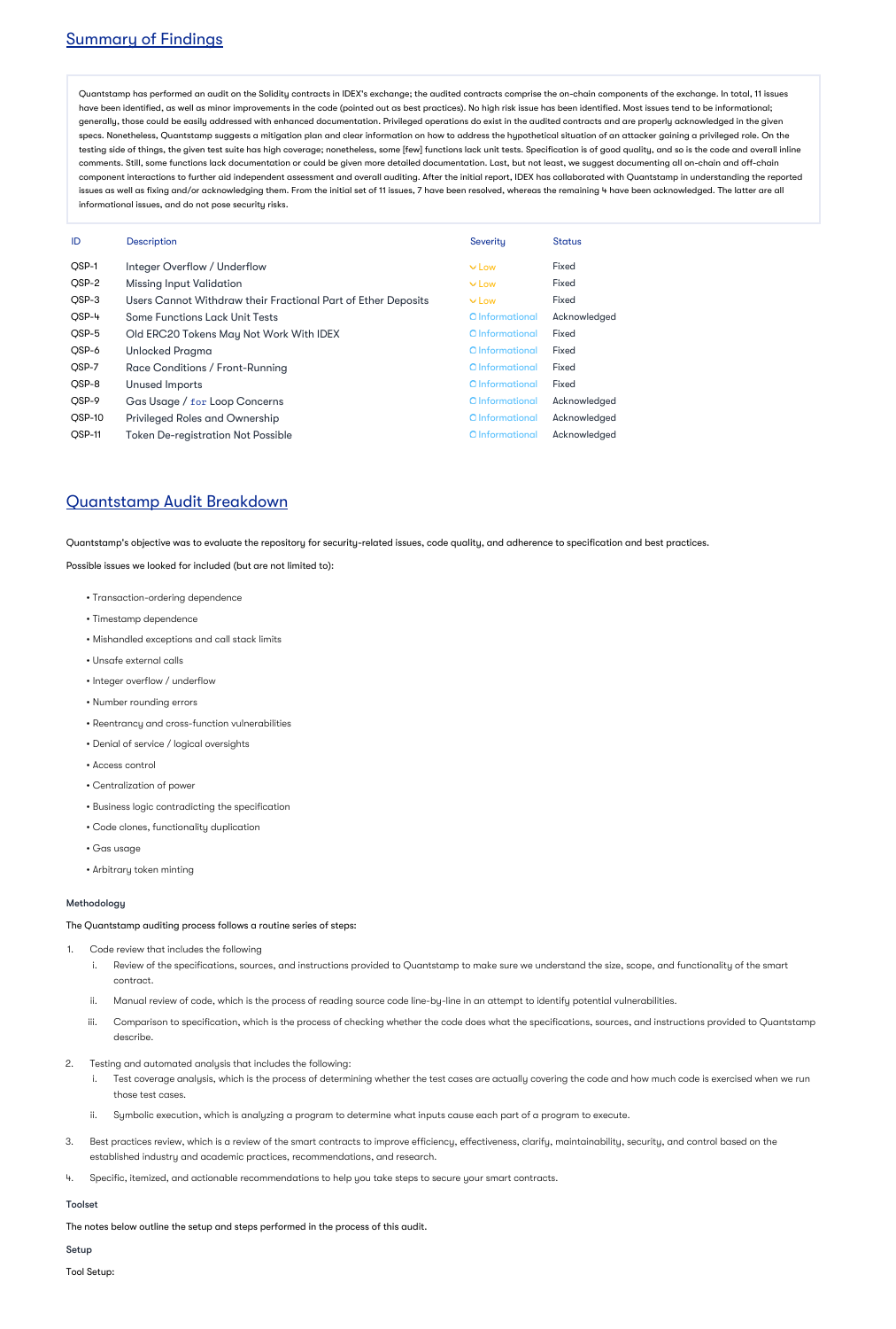# Summary of Findings

Quantstamp has performed an audit on the Solidity contracts in IDEX's exchange; the audited contracts comprise the on-chain components of the exchange. In total, 11 issues have been identified, as well as minor improvements in the code (pointed out as best practices). No high risk issue has been identified. Most issues tend to be informational; generally, those could be easily addressed with enhanced documentation. Privileged operations do exist in the audited contracts and are properly acknowledged in the given specs. Nonetheless, Quantstamp suggests a mitigation plan and clear information on how to address the hypothetical situation of an attacker gaining a privileged role. On the testing side of things, the given test suite has high coverage; nonetheless, some [few] functions lack unit tests. Specification is of good quality, and so is the code and overall inline comments. Still, some functions lack documentation or could be given more detailed documentation. Last, but not least, we suggest documenting all on-chain and off-chain component interactions to further aid independent assessment and overall auditing. After the initial report, IDEX has collaborated with Quantstamp in understanding the reported issues as well as fixing and/or acknowledging them. From the initial set of 11 issues, 7 have been resolved, whereas the remaining 4 have been acknowledged. The latter are all informational issues, and do not pose security risks.

| ID     | <b>Description</b>                                            | Severity        | <b>Status</b> |
|--------|---------------------------------------------------------------|-----------------|---------------|
| QSP-1  | Integer Overflow / Underflow                                  | $\times$ Low    | <b>Fixed</b>  |
| QSP-2  | <b>Missing Input Validation</b>                               | $\vee$ Low      | <b>Fixed</b>  |
| QSP-3  | Users Cannot Withdraw their Fractional Part of Ether Deposits | $\vee$ Low      | <b>Fixed</b>  |
| QSP-4  | <b>Some Functions Lack Unit Tests</b>                         | O Informational | Acknowledged  |
| QSP-5  | Old ERC20 Tokens May Not Work With IDEX                       | O Informational | <b>Fixed</b>  |
| QSP-6  | <b>Unlocked Pragma</b>                                        | O Informational | <b>Fixed</b>  |
| QSP-7  | Race Conditions / Front-Running                               | O Informational | <b>Fixed</b>  |
| QSP-8  | <b>Unused Imports</b>                                         | O Informational | <b>Fixed</b>  |
| QSP-9  | Gas Usage / for Loop Concerns                                 | O Informational | Acknowledged  |
| QSP-10 | <b>Privileged Roles and Ownership</b>                         | O Informational | Acknowledged  |
| QSP-11 | <b>Token De-registration Not Possible</b>                     | O Informational | Acknowledged  |



# Quantstamp Audit Breakdown

Quantstamp's objective was to evaluate the repository for security-related issues, code quality, and adherence to specification and best practices.

#### Possible issues we looked for included (but are not limited to):

- Transaction-ordering dependence
- Timestamp dependence
- Mishandled exceptions and call stack limits
- Unsafe external calls
- Integer overflow / underflow
- Number rounding errors
- Reentrancy and cross-function vulnerabilities
- Denial of service / logical oversights
- Access control
- Centralization of power
- Business logic contradicting the specification
- Code clones, functionality duplication
- Gas usage
- Arbitrary token minting

### Methodology

The Quantstamp auditing process follows a routine series of steps:

- 1. Code review that includes the following
	- i. Review of the specifications, sources, and instructions provided to Quantstamp to make sure we understand the size, scope, and functionality of the smart contract.
	- ii. Manual review of code, which is the process of reading source code line-by-line in an attempt to identify potential vulnerabilities.
	- iii. Comparison to specification, which is the process of checking whether the code does what the specifications, sources, and instructions provided to Quantstamp describe.
- 2. Testing and automated analysis that includes the following:
	- i. Test coverage analysis, which is the process of determining whether the test cases are actually covering the code and how much code is exercised when we run those test cases.
	- ii. Symbolic execution, which is analyzing a program to determine what inputs cause each part of a program to execute.
- 3. Best practices review, which is a review of the smart contracts to improve efficiency, effectiveness, clarify, maintainability, security, and control based on the established industry and academic practices, recommendations, and research.
- 4. Specific, itemized, and actionable recommendations to help you take steps to secure your smart contracts.

#### Toolset

The notes below outline the setup and steps performed in the process of this audit.

Setup

Tool Setup: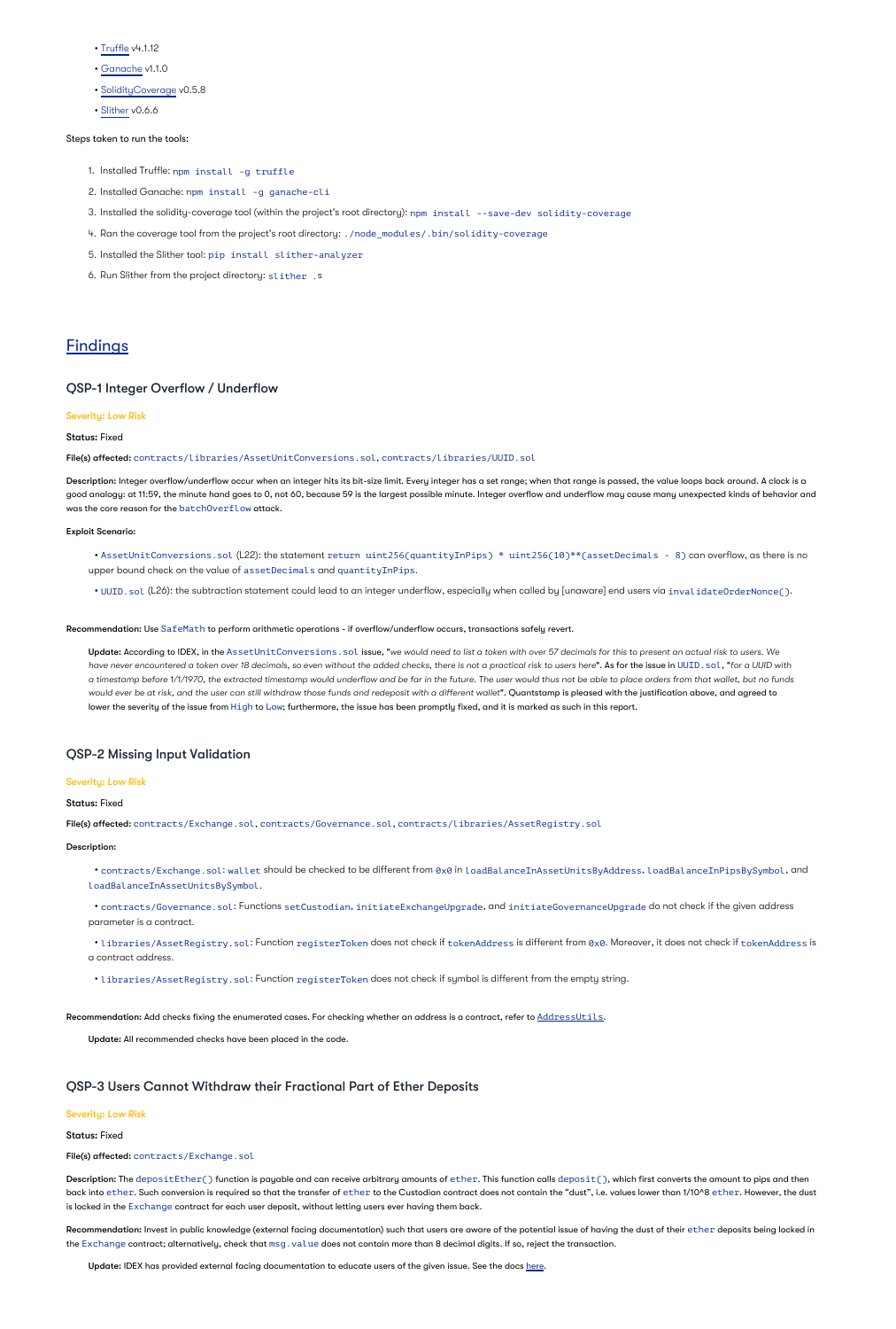• [Truffle](https://truffleframework.com/) v4.1.12

- [Ganache](https://truffleframework.com/ganache) v1.1.0
- [SolidityCoverage](https://github.com/sc-forks/solidity-coverage) v0.5.8
- [Slither](https://github.com/crytic/slither) v0.6.6

Steps taken to run the tools:

- 1. Installed Truffle: npm install -g truffle
- 2. Installed Ganache: npm install -g ganache-cli
- 3. Installed the solidity-coverage tool (within the project's root directory): npm install --save-dev solidity-coverage
- 4. Ran the coverage tool from the project's root directory: ./node\_modules/.bin/solidity-coverage
- 5. Installed the Slither tool: pip install slither-analyzer
- 6. Run Slither from the project directory: slither .s

# **Findings**

Description: Integer overflow/underflow occur when an integer hits its bit-size limit. Every integer has a set range; when that range is passed, the value loops back around. A clock is a good analogy: at 11:59, the minute hand goes to 0, not 60, because 59 is the largest possible minute. Integer overflow and underflow may cause many unexpected kinds of behavior and

was the core reason for the  $batchOverflow$  attack.

### QSP-1 Integer Overflow / Underflow

#### Severity: *Low Risk*

Status: Fixed

File(s) affected: contracts/libraries/AssetUnitConversions.sol, contracts/libraries/UUID.sol

#### Exploit Scenario:

• AssetUnitConversions.sol (L22): the statement return uint256(quantityInPips) \* uint256(10)\*\*(assetDecimals - 8) can overflow, as there is no upper bound check on the value of assetDecimals and quantityInPips.

**Update: According to IDEX, in the AssetUnitConversions . sol issue, "**we would need to list a token with over 57 decimals for this to present an actual risk to users. We have never encountered a token over 18 decimals, so even without the added checks, there is not a practical risk to users here**". As for the issue in** UUID **. sol , "**for a UUID with would ever be at risk, and the user can still withdraw those funds and redeposit with a different wallet**". Quantstamp is pleased with the justification above, and agreed to** lower the severity of the issue from H $\mathtt{igh}$  to Low; furthermore, the issue has been promptly fixed, and it is marked as such in this report. *a timestamp before 1/1/1970, the extracted timestamp would underflow and be far in the future. The user would thus not be able to place orders from that wallet, but no funds*

• contracts/Exchange.sol:wallet should be checked to be different from 0x0 in loadBalanceInAssetUnitsByAddress,loadBalanceInPipsBySymbol,and . loadBalanceInAssetUnitsBySymbol

• UUID.sol (L26): the subtraction statement could lead to an integer underflow, especially when called by [unaware] end users via invalidateOrderNonce().

• contracts/Governance.sol: Functions setCustodian, initiateExchangeUpgrade, and initiateGovernanceUpgrade do not check if the given address parameter is a contract.

• libraries/AssetRegistry.sol: Function registerToken does not check if tokenAddress is different from 0x0. Moreover, it does not check if tokenAddress is a contract address.

Recommendation: Use SafeMath to perform arithmetic operations - if overflow/underflow occurs, transactions safely revert.

# QSP-2 Missing Input Validation

#### Severity: *Low Risk*

#### Status: Fixed

File(s) affected: contracts/Exchange.sol, contracts/Governance.sol, contracts/libraries/AssetRegistry.sol

#### Description:

• libraries/AssetRegistry.sol: Function registerToken does not check if symbol is different from the empty string.

Recommendation: Add checks fixing the enumerated cases. For checking whether an address is a contract, refer to [AddressUtils](https://github.com/OpenZeppelin/openzeppelin-contracts/blob/master/contracts/utils/Address.sol).

Update: All recommended checks have been placed in the code.

### QSP-3 Users Cannot Withdraw their Fractional Part of Ether Deposits

#### Severity: *Low Risk*

Status: Fixed

File(s) affected: contracts/Exchange.sol

Description: The depositEther() function is payable and can receive arbitrary amounts of ether. This function calls deposit(), which first converts the amount to pips and then back into ether. Such conversion is required so that the transfer of ether to the Custodian contract does not contain the "dust", i.e. values lower than 1/10^8 ether. However, the dust is locked in the Exchange contract for each user deposit, without letting users ever having them back.

Recommendation: Invest in public knowledge (external facing documentation) such that users are aware of the potential issue of having the dust of their ether deposits being locked in the Exchange contract; alternatively, check that msg.value does not contain more than 8 decimal digits. If so, reject the transaction.

Update: IDEX has provided external facing documentation to educate users of the given issue. See the docs [here.](https://idex:ftw@docs.idex.io/#deposit-funds)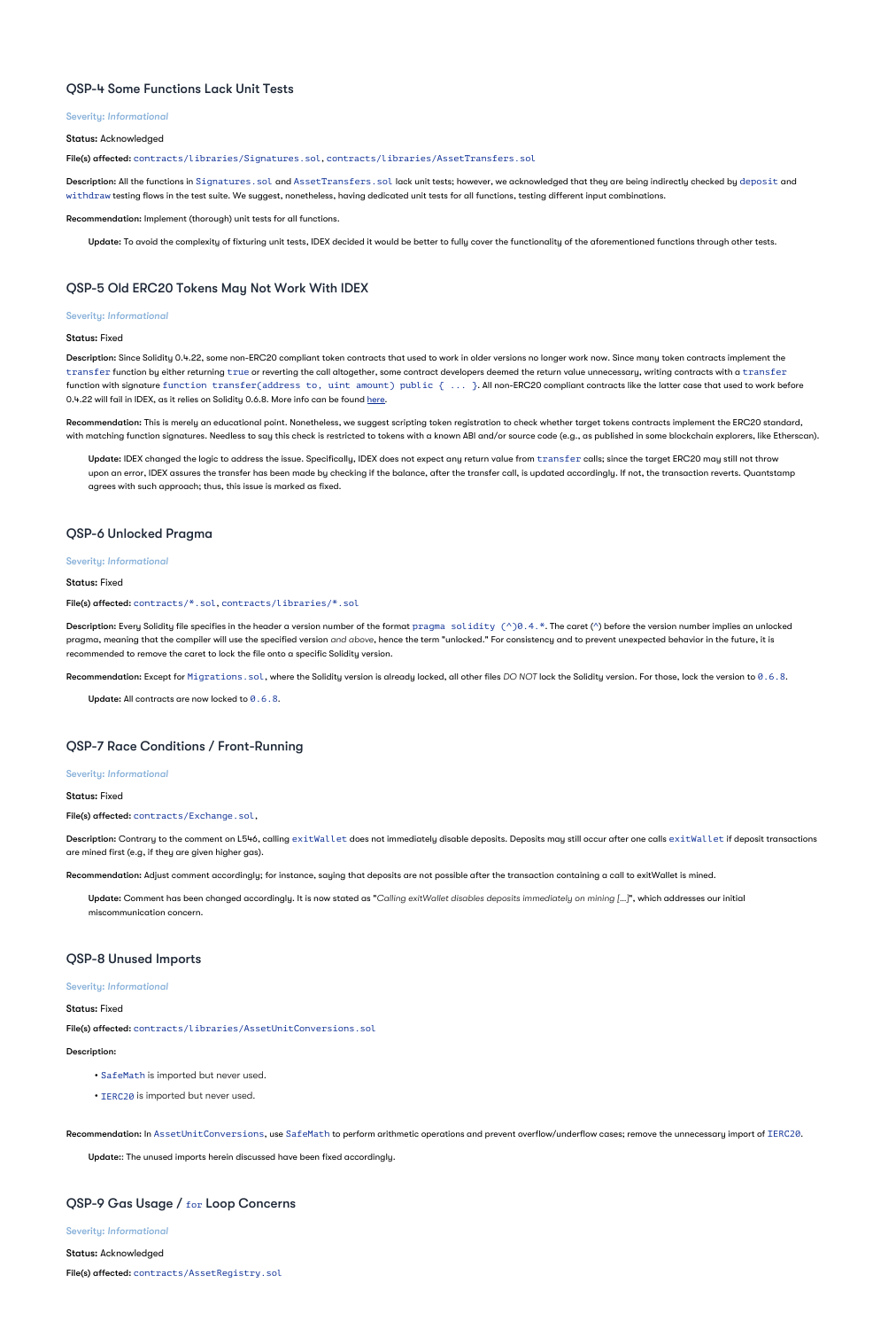### QSP-4 Some Functions Lack Unit Tests

#### Severity: *Informational*

#### Status: Acknowledged

File(s) affected: contracts/libraries/Signatures.sol, contracts/libraries/AssetTransfers.sol

Description: All the functions in Signatures.sol and AssetTransfers.sol lack unit tests; however, we acknowledged that they are being indirectly checked by deposit and withdraw testing flows in the test suite. We suggest, nonetheless, having dedicated unit tests for all functions, testing different input combinations.

Recommendation: Implement (thorough) unit tests for all functions.

Update: To avoid the complexity of fixturing unit tests, IDEX decided it would be better to fully cover the functionality of the aforementioned functions through other tests.

# QSP-5 Old ERC20 Tokens May Not Work With IDEX

#### Severity: *Informational*

#### Status: Fixed

**Description:** Since Solidity 0.4.22, some non-ERC20 compliant token contracts that used to work in older versions no longer work now. Since many token contracts implement the  $\tt{transfer}$  function by either returning  $\tt{true}$  or reverting the call altogether, some contract developers deemed the return value unnecessary, writing contracts with a  $\tt{transfer}$ function with signature <code>function transfer(address to, uint amount)</code>  ${\tt public}$   $\{~\dots~}$ . All non-ERC20 compliant contracts like the latter case that used to work before 0.4.22 will fail in IDEX, as it relies on Solidity 0.6.8. More info can be found <u>[here](https://medium.com/@chris_77367/explaining-unexpected-reverts-starting-with-solidity-0-4-22-3ada6e82308c)</u>.

**Recommendation:** This is merely an educational point. Nonetheless, we suggest scripting token registration to check whether target tokens contracts implement the ERC20 standard, with matching function signatures. Needless to say this check is restricted to tokens with a known ABI and/or source code (e.g., as published in some blockchain explorers, like Etherscan).

**Update:** IDEX changed the logic to address the issue. Specifically, IDEX does not expect any return value from  $\texttt{transfer}$  calls; since the target ERC20 may still not throw upon an error, IDEX assures the transfer has been made by checking if the balance, after the transfer call, is updated accordingly. If not, the transaction reverts. Quantstamp agrees with such approach; thus, this issue is marked as fixed.

**Description:** Every Solidity file specifies in the header a version number of the format  $\text{pragma }\,\,\text{solidity }(\text{^0})\text{0.4.*}.$  The caret (^) before the version number implies an unlocked pragma, meaning that the compiler will use the specified version *and above*, hence the term "unlocked." For consistency and to prevent unexpected behavior in the future, it is recommended to remove the caret to lock the file onto a specific Solidity version.

Recommendation: Except for Migrations.sol, where the Solidity version is already locked, all other files *DO NOT* lock the Solidity version. For those, lock the version to 0.6.8.

Update: All contracts are now locked to  $0.6.8$ .

Description: Contrary to the comment on L546, calling exitWallet does not immediately disable deposits. Deposits may still occur after one calls exitWallet if deposit transactions are mined first (e.g, if they are given higher gas).

**Update: Comment has been changed accordingly. It is now stated as "**Calling exitWallet disables deposits immediately on mining [...]**", which addresses our initial** miscommunication concern.

# QSP-6 Unlocked Pragma

#### Severity: *Informational*

#### Status: Fixed

#### File(s) affected: contracts/\*.sol, contracts/libraries/\*.sol

# QSP-7 Race Conditions / Front-Running

#### Severity: *Informational*

Status: Fixed

File(s) affected: contracts/Exchange.sol,

Recommendation: Adjust comment accordingly; for instance, saying that deposits are not possible after the transaction containing a call to exitWallet is mined.

# QSP-8 Unused Imports

#### Severity: *Informational*

#### Status: Fixed

File(s) affected: contracts/libraries/AssetUnitConversions.sol

Description:

- SafeMath is imported but never used.
- IERC20 is imported but never used.

Recommendation: In AssetUnitConversions, use SafeMath to perform arithmetic operations and prevent overflow/underflow cases; remove the unnecessary import of IERC20.

Update:: The unused imports herein discussed have been fixed accordingly.

# QSP-9 Gas Usage / for Loop Concerns

Severity: *Informational*

Status: Acknowledged

File(s) affected: contracts/AssetRegistry.sol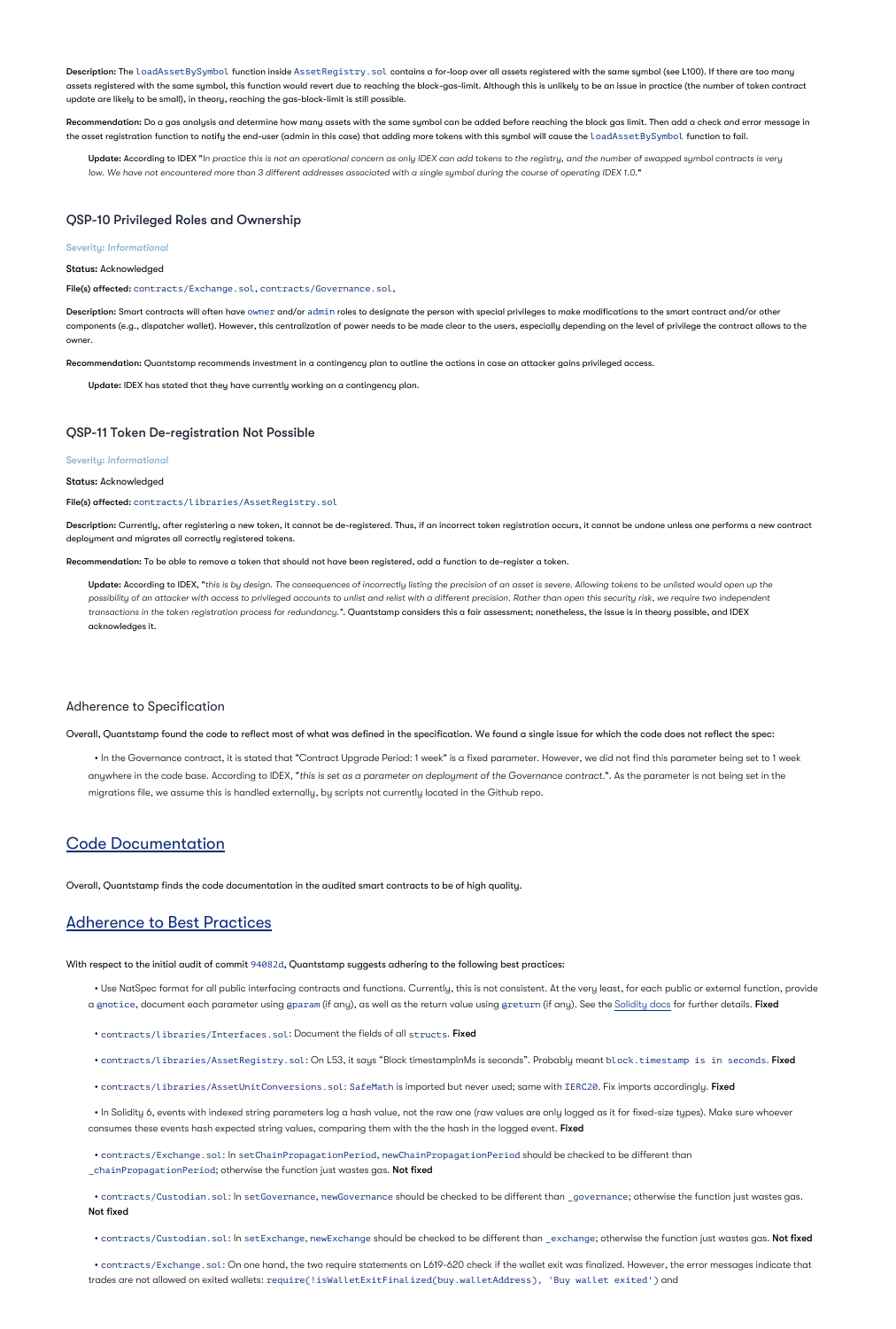Description: The loadAssetBySymbol function inside AssetRegistry . sol contains a for-loop over all assets registered with the same symbol (see L100). If there are too many assets registered with the same symbol, this function would revert due to reaching the block-gas-limit. Although this is unlikely to be an issue in practice (the number of token contract update are likely to be small), in theory, reaching the gas-block-limit is still possible.

**Recommendation:** Do a gas analysis and determine how many assets with the same symbol can be added before reaching the block gas limit. Then add a check and error message in the asset registration function to notify the end-user (admin in this case) that adding more tokens with this symbol will cause the <code>loadAssetBySymbol</code> function to fail.

**Update: According to IDEX "**In practice this is not an operational concern as only IDEX can add tokens to the registry, and the number of swapped symbol contracts is very " *low. We have not encountered more than 3 different addresses associated with a single symbol during the course of operating IDEX 1.0.*

Description: Smart contracts will often have owne $\bf r$  and/or admin roles to designate the person with special privileges to make modifications to the smart contract and/or other components (e.g., dispatcher wallet). However, this centralization of power needs to be made clear to the users, especially depending on the level of privilege the contract allows to the owner.

Description: Currently, after registering a new token, it cannot be de-registered. Thus, if an incorrect token registration occurs, it cannot be undone unless one performs a new contract deployment and migrates all correctly registered tokens.

# QSP-10 Privileged Roles and Ownership

#### Severity: *Informational*

#### Status: Acknowledged

#### File(s) affected: contracts/Exchange.sol, contracts/Governance.sol,

**Update: According to IDEX, "**this is by design. The consequences of incorrectly listing the precision of an asset is severe. Allowing tokens to be unlisted would open up the transactions in the token registration process for redundancy**.". Quantstamp considers this a fair assessment; nonetheless, the issue is in theory possible, and IDEX** acknowledges it. *possibility of an attacker with access to privileged accounts to unlist and relist with a different precision. Rather than open this security risk, we require two independent*

Recommendation: Quantstamp recommends investment in a contingency plan to outline the actions in case an attacker gains privileged access.

 $\bullet$  In the Governance contract, it is stated that "Contract Upgrade Period: 1 week" is a fixed parameter. However, we did not find this parameter being set to 1 week anywhere in the code base. According to IDEX, "this is set as a parameter on deployment of the Governance contract.". As the parameter is not being set in the migrations file, we assume this is handled externally, by scripts not currently located in the Github repo.

Update: IDEX has stated that they have currently working on a contingency plan.

# QSP-11 Token De-registration Not Possible

#### Severity: *Informational*

#### Status: Acknowledged

#### File(s) affected: contracts/libraries/AssetRegistry.sol

Recommendation: To be able to remove a token that should not have been registered, add a function to de-register a token.

### Adherence to Specification

Overall, Quantstamp found the code to reflect most of what was defined in the specification. We found a single issue for which the code does not reflect the spec:

# Code Documentation

Overall, Quantstamp finds the code documentation in the audited smart contracts to be of high quality.

# Adherence to Best Practices

With respect to the initial audit of commit 94082d, Quantstamp suggests adhering to the following best practices:

Use NatSpec format for all public interfacing contracts and functions. Currently, this is not consistent. At the very least, for each public or external function, provide •

a <sub>@notice, document each parameter using <sub>@param</sub> (if any), as well as the return value using @return (if any). See the [Solidity docs](https://solidity.readthedocs.io/en/v0.6.8/natspec-format.html) for further details. **Fixed**</sub>

• contracts/libraries/Interfaces.sol: Document the fields of all structs. Fixed

• contracts/libraries/AssetRegistry.sol: On L53, it says "Block timestampInMs is seconds". Probably meant block.timestamp is in seconds. Fixed

• contracts/libraries/AssetUnitConversions.sol: SafeMath is imported but never used; same with IERC20. Fix imports accordingly. Fixed

 $\bullet$  In Solidity 6, events with indexed string parameters log a hash value, not the raw one (raw values are only logged as it for fixed-size types). Make sure whoever consumes these events hash expected string values, comparing them with the the hash in the logged event. **Fixed** 

• contracts/Exchange.sol: In setChainPropagationPeriod, newChainPropagationPeriod should be checked to be different thon \_chainPropagationPeriod; otherwise the function just wastes gas. **Not fixed** 

• contracts/Custodian.sol: In setGovernance, newGovernance should be checked to be different than \_governance; otherwise the function just wastes gas. Not fixed

• contracts/Custodian.sol: In setExchange, newExchange should be checked to be different than \_exchange; otherwise the function just wastes gas. Not fixed

• contracts/Exchange . sol : On one hand, the two require statements on L619-620 check if the wallet exit was finalized. However, the error messages indicate that trades are not allowed on exited wallets:  ${\tt require} (! {\tt isWalletExitFinalized(buy.walketAddress)} , \ "Buy walk with a list of 'and'')$  and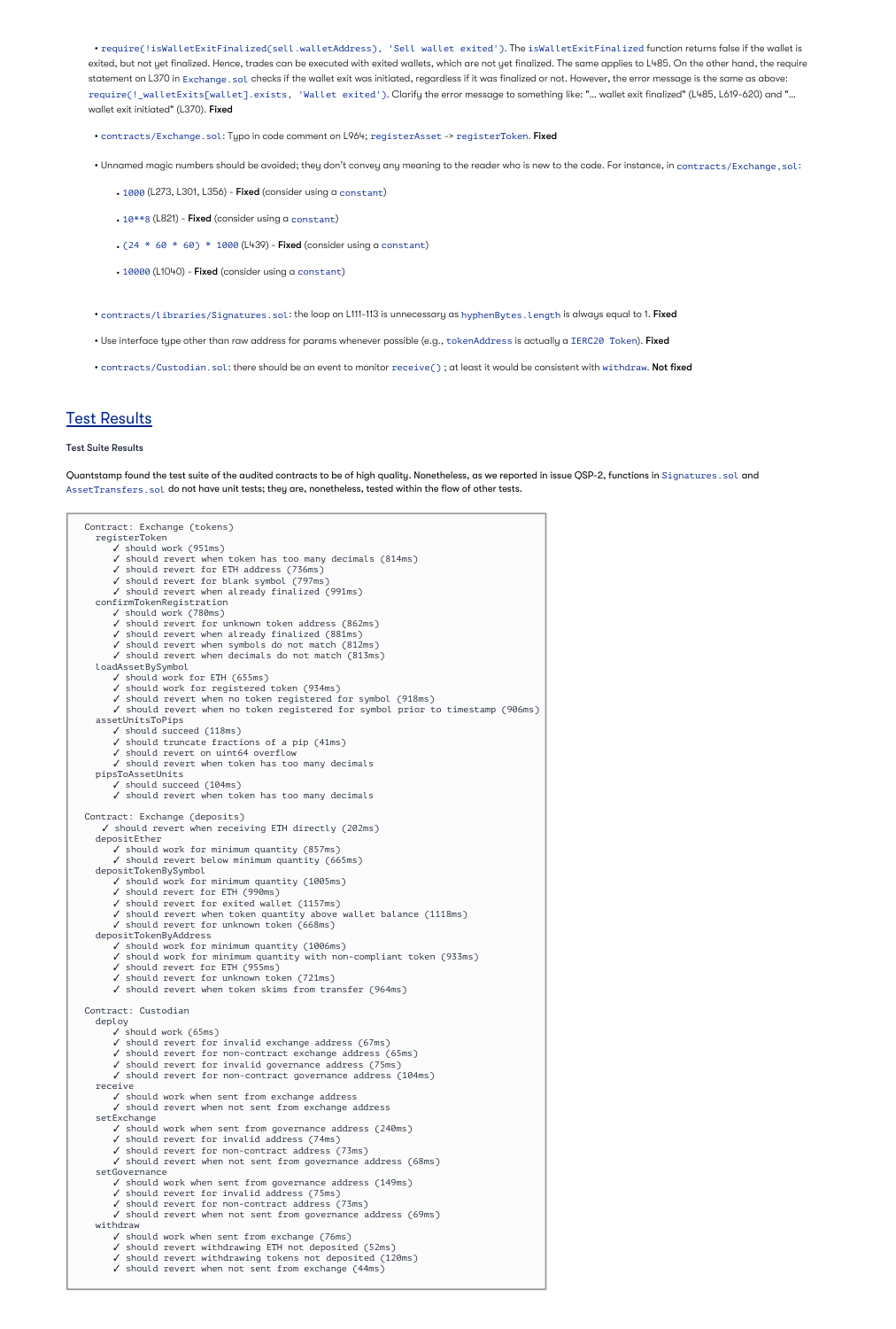• require(!isWalletExitFinalized(sell.walletAddress), 'Sell wallet exited').The isWalletExitFinalized function returns false if the wallet is exited, but not yet finalized. Hence, trades can be executed with exited wallets, which are not yet finalized. The same applies to L485. On the other hand, the require statement on L370 in Exchange . sol checks if the wallet exit was initiated, regardless if it was finalized or not. However, the error message is the same as above: require(!\_walletExits[wallet].exists, 'Wallet exited'). Clarify the error message to something like: "… wallet exit finalized" (L485, L619-620) and "… wallet exit initiated" (L370)**. Fixed** 

• contracts/Exchange.sol: Typo in code comment on L964; registerAsset -> registerToken. Fixed

- Unnamed magic numbers should be avoided; they don't convey any meaning to the reader who is new to the code. For instance, in contracts/Exchange,sol:
	- 1000 (L273, L301, L356) Fixed (consider using a constant)
	- 10\*\*8 (L821) Fixed (consider using a constant)
	- $(24 * 60 * 60) * 1000$  (L439) Fixed (consider using a constant)
	- 10000 (L1040) Fixed (consider using a constant)

• contracts/libraries/Signatures.sol: the loop on L111-113 is unnecessary as hyphenBytes. length is always equal to 1. Fixed

- Use interface type other than raw address for params whenever possible (e.g., tokenAddress is actually a IERC20 Token). Fixed
- contracts/Custodian.sol: there should be an event to monitor receive(); at least it would be consistent with withdraw. Not fixed

# **Test Results**

#### Test Suite Results

Quantstamp found the test suite of the audited contracts to be of high quality. Nonetheless, as we reported in issue QSP-2, functions in <code>Signatures.sol</code> and <code>AssetTransfers.sol</code> do not have unit tests; they are, nonetheless, tested within the flow of other tests.

Contract: Exchange (tokens) registerToken ✓ should work (951ms) ✓ should revert when token has too many decimals (814ms) ✓ should revert for ETH address (736ms) ✓ should revert for blank symbol (797ms) ✓ should revert when already finalized (991ms) confirmTokenRegistration ✓ should work (780ms) ✓ should revert for unknown token address (862ms) ✓ should revert when already finalized (881ms) ✓ should revert when symbols do not match (812ms) ✓ should revert when decimals do not match (813ms) loadAssetBySymbol ✓ should work for ETH (655ms) ✓ should work for registered token (934ms) ✓ should revert when no token registered for symbol (918ms) ✓ should revert when no token registered for symbol prior to timestamp (906ms) assetUnitsToPips ✓ should succeed (118ms) ✓ should truncate fractions of a pip (41ms) ✓ should revert on uint64 overflow ✓ should revert when token has too many decimals pipsToAssetUnits ✓ should succeed (104ms) ✓ should revert when token has too many decimals Contract: Exchange (deposits) ✓ should revert when receiving ETH directly (202ms) depositEther ✓ should work for minimum quantity (857ms) ✓ should revert below minimum quantity (665ms) depositTokenBySymbol ✓ should work for minimum quantity (1005ms) ✓ should revert for ETH (990ms) ✓ should revert for exited wallet (1157ms) ✓ should revert when token quantity above wallet balance (1118ms) ✓ should revert for unknown token (668ms) depositTokenByAddress ✓ should work for minimum quantity (1006ms) ✓ should work for minimum quantity with non-compliant token (933ms) ✓ should revert for ETH (955ms) ✓ should revert for unknown token (721ms) ✓ should revert when token skims from transfer (964ms)

Contract: Custodian

#### deploy

✓ should work (65ms)

✓ should revert for invalid exchange address (67ms)

✓ should revert for non-contract exchange address (65ms)

✓ should revert for invalid governance address (75ms)

✓ should revert for non-contract governance address (104ms) receive

✓ should work when sent from exchange address

✓ should revert when not sent from exchange address setExchange

✓ should work when sent from governance address (240ms)

✓ should revert for invalid address (74ms)

✓ should revert for non-contract address (73ms)

✓ should revert when not sent from governance address (68ms) setGovernance

✓ should work when sent from governance address (149ms)

✓ should revert for invalid address (75ms)

✓ should revert for non-contract address (73ms)

✓ should revert when not sent from governance address (69ms) withdraw

✓ should work when sent from exchange (76ms)

✓ should revert withdrawing ETH not deposited (52ms)

✓ should revert withdrawing tokens not deposited (120ms)

✓ should revert when not sent from exchange (44ms)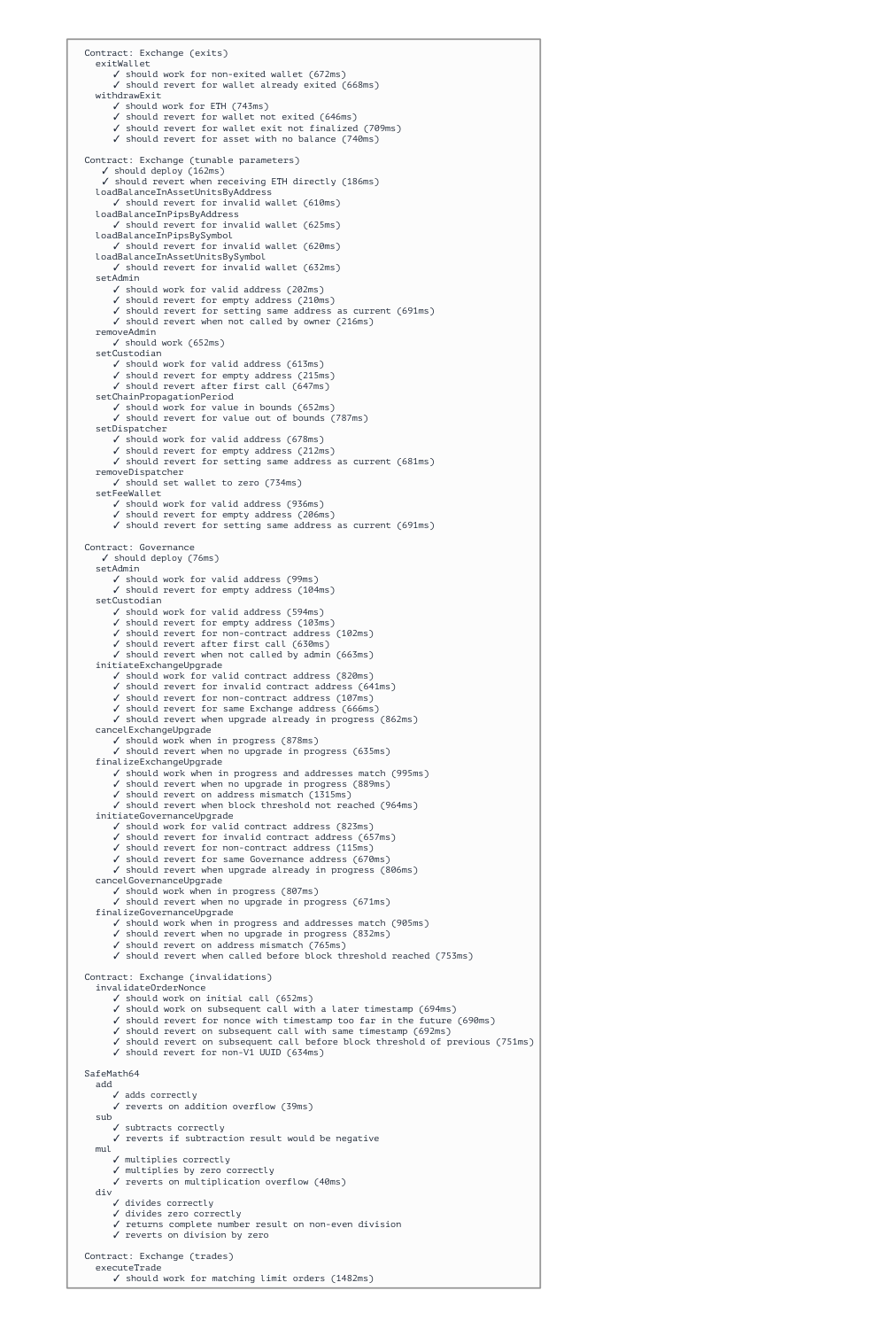Contract: Exchange (exits) exitWallet ✓ should work for non-exited wallet (672ms) ✓ should revert for wallet already exited (668ms) withdrawExit ✓ should work for ETH (743ms) ✓ should revert for wallet not exited (646ms) ✓ should revert for wallet exit not finalized (709ms) ✓ should revert for asset with no balance (740ms) Contract: Exchange (tunable parameters) ✓ should deploy (162ms) ✓ should revert when receiving ETH directly (186ms) loadBalanceInAssetUnitsByAddress ✓ should revert for invalid wallet (610ms) loadBalanceInPipsByAddress ✓ should revert for invalid wallet (625ms) loadBalanceInPipsBySymbol ✓ should revert for invalid wallet (620ms) loadBalanceInAssetUnitsBySymbol ✓ should revert for invalid wallet (632ms) setAdmin ✓ should work for valid address (202ms) ✓ should revert for empty address (210ms) ✓ should revert for setting same address as current (691ms) ✓ should revert when not called by owner (216ms) removeAdmin ✓ should work (652ms) setCustodian ✓ should work for valid address (613ms) ✓ should revert for empty address (215ms) ✓ should revert after first call (647ms) setChainPropagationPeriod ✓ should work for value in bounds (652ms) ✓ should revert for value out of bounds (787ms) setDispatcher ✓ should work for valid address (678ms) ✓ should revert for empty address (212ms) ✓ should revert for setting same address as current (681ms) removeDispatcher ✓ should set wallet to zero (734ms) setFeeWallet ✓ should work for valid address (936ms) ✓ should revert for empty address (206ms) ✓ should revert for setting same address as current (691ms) Contract: Governance ✓ should deploy (76ms) setAdmin ✓ should work for valid address (99ms) ✓ should revert for empty address (104ms) setCustodian ✓ should work for valid address (594ms) ✓ should revert for empty address (103ms) ✓ should revert for non-contract address (102ms) ✓ should revert after first call (630ms) ✓ should revert when not called by admin (663ms) initiateExchangeUpgrade ✓ should work for valid contract address (820ms) ✓ should revert for invalid contract address (641ms) ✓ should revert for non-contract address (107ms) ✓ should revert for same Exchange address (666ms) ✓ should revert when upgrade already in progress (862ms) cancelExchangeUpgrade ✓ should work when in progress (878ms) ✓ should revert when no upgrade in progress (635ms) finalizeExchangeUpgrade ✓ should work when in progress and addresses match (995ms) ✓ should revert when no upgrade in progress (889ms) ✓ should revert on address mismatch (1315ms) ✓ should revert when block threshold not reached (964ms) initiateGovernanceUpgrade ✓ should work for valid contract address (823ms) ✓ should revert for invalid contract address (657ms) ✓ should revert for non-contract address (115ms) ✓ should revert for same Governance address (670ms) ✓ should revert when upgrade already in progress (806ms) cancelGovernanceUpgrade ✓ should work when in progress (807ms) ✓ should revert when no upgrade in progress (671ms) finalizeGovernanceUpgrade ✓ should work when in progress and addresses match (905ms) ✓ should revert when no upgrade in progress (832ms) ✓ should revert on address mismatch (765ms) ✓ should revert when called before block threshold reached (753ms) Contract: Exchange (invalidations)

invalidateOrderNonce

```
✓ should work on initial call (652ms)
     ✓ should work on subsequent call with a later timestamp (694ms)
     ✓ should revert for nonce with timestamp too far in the future (690ms)
     ✓ should revert on subsequent call with same timestamp (692ms)
     ✓ should revert on subsequent call before block threshold of previous (751ms)
     ✓ should revert for non-V1 UUID (634ms)
SafeMath64
  add
     ✓ adds correctly
     ✓ reverts on addition overflow (39ms)
  sub
     ✓ subtracts correctly
     ✓ reverts if subtraction result would be negative
  mul
     ✓ multiplies correctly
     ✓ multiplies by zero correctly
     ✓ reverts on multiplication overflow (40ms)
  div
     ✓ divides correctly
     ✓ divides zero correctly
     ✓ returns complete number result on non-even division
     ✓ reverts on division by zero
Contract: Exchange (trades)
  executeTrade
     ✓ should work for matching limit orders (1482ms)
```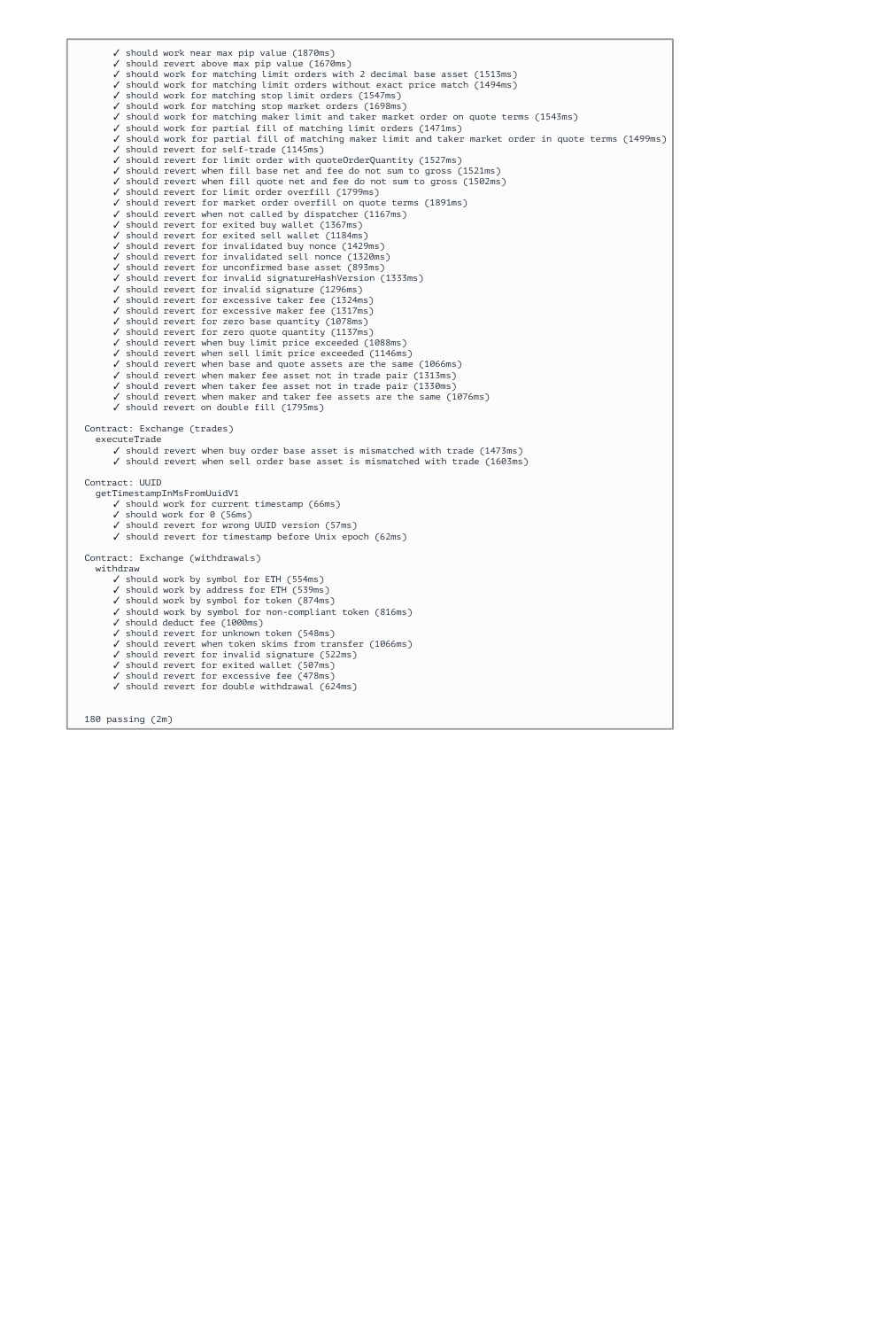✓ should work near max pip value (1870ms) ✓ should revert above max pip value (1670ms) ✓ should work for matching limit orders with 2 decimal base asset (1513ms) ✓ should work for matching limit orders without exact price match (1494ms) ✓ should work for matching stop limit orders (1547ms) ✓ should work for matching stop market orders (1698ms) ✓ should work for matching maker limit and taker market order on quote terms (1543ms) ✓ should work for partial fill of matching limit orders (1471ms) ✓ should work for partial fill of matching maker limit and taker market order in quote terms (1499ms) ✓ should revert for self-trade (1145ms) ✓ should revert for limit order with quoteOrderQuantity (1527ms) ✓ should revert when fill base net and fee do not sum to gross (1521ms) ✓ should revert when fill quote net and fee do not sum to gross (1502ms) ✓ should revert for limit order overfill (1799ms) ✓ should revert for market order overfill on quote terms (1891ms) ✓ should revert when not called by dispatcher (1167ms) ✓ should revert for exited buy wallet (1367ms) ✓ should revert for exited sell wallet (1184ms) ✓ should revert for invalidated buy nonce (1429ms) ✓ should revert for invalidated sell nonce (1320ms) ✓ should revert for unconfirmed base asset (893ms) ✓ should revert for invalid signatureHashVersion (1333ms) ✓ should revert for invalid signature (1296ms) ✓ should revert for excessive taker fee (1324ms) ✓ should revert for excessive maker fee (1317ms) ✓ should revert for zero base quantity (1078ms) ✓ should revert for zero quote quantity (1137ms) ✓ should revert when buy limit price exceeded (1088ms) ✓ should revert when sell limit price exceeded (1146ms) ✓ should revert when base and quote assets are the same (1066ms) ✓ should revert when maker fee asset not in trade pair (1313ms) ✓ should revert when taker fee asset not in trade pair (1330ms) ✓ should revert when maker and taker fee assets are the same (1076ms) ✓ should revert on double fill (1795ms) Contract: Exchange (trades) executeTrade ✓ should revert when buy order base asset is mismatched with trade (1473ms) ✓ should revert when sell order base asset is mismatched with trade (1603ms) Contract: UUID

getTimestampInMsFromUuidV1

```
✓ should work for current timestamp (66ms)
     ✓ should work for 0 (56ms)
     ✓ should revert for wrong UUID version (57ms)
     ✓ should revert for timestamp before Unix epoch (62ms)
Contract: Exchange (withdrawals)
  withdraw
     ✓ should work by symbol for ETH (554ms)
     ✓ should work by address for ETH (539ms)
     ✓ should work by symbol for token (874ms)
     ✓ should work by symbol for non-compliant token (816ms)
     ✓ should deduct fee (1000ms)
     ✓ should revert for unknown token (548ms)
     ✓ should revert when token skims from transfer (1066ms)
     ✓ should revert for invalid signature (522ms)
     ✓ should revert for exited wallet (507ms)
     ✓ should revert for excessive fee (478ms)
     ✓ should revert for double withdrawal (624ms)
180 passing (2m)
```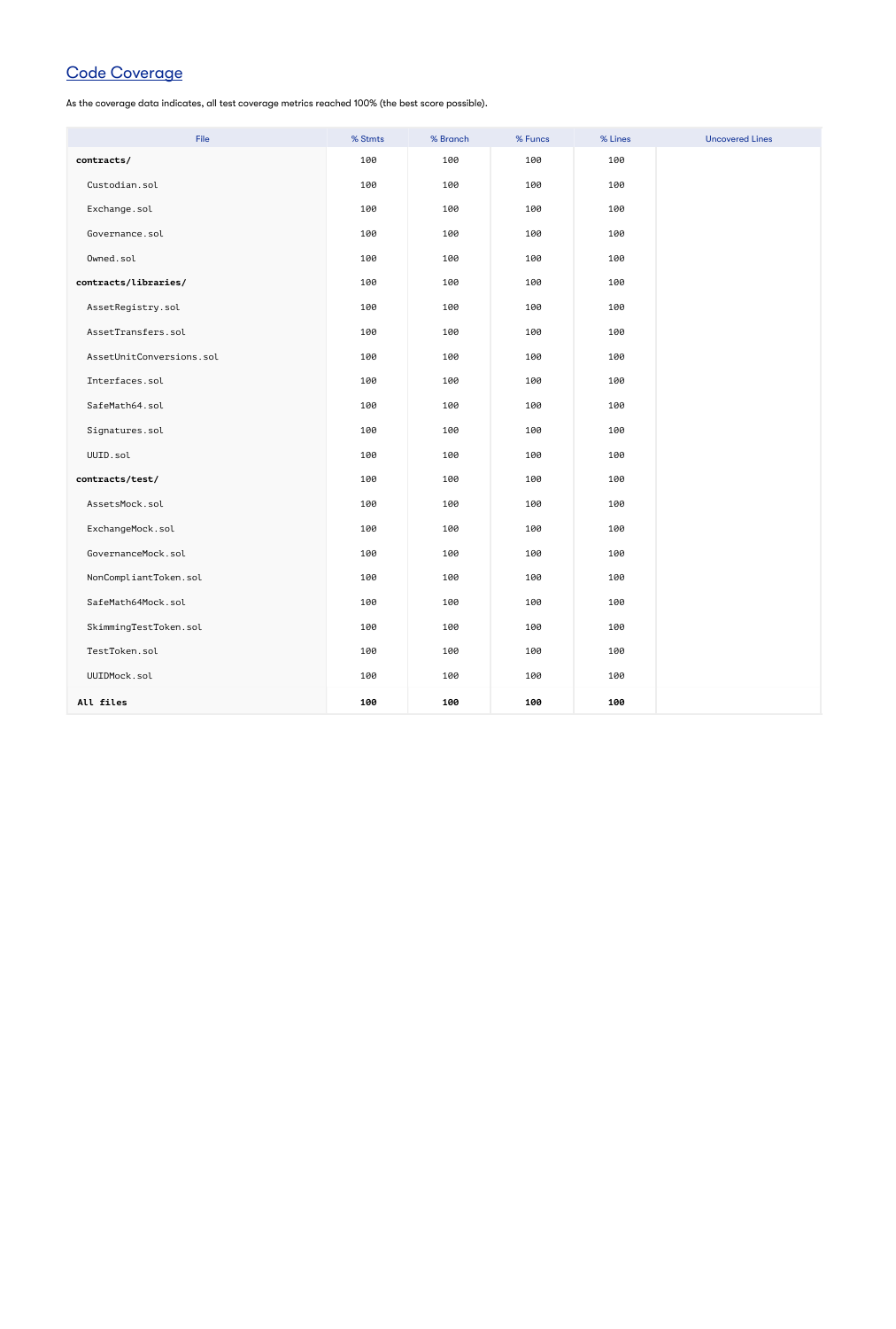# Code Coverage

As the coverage data indicates, all test coverage metrics reached 100% (the best score possible).

| File                     | % Stmts | % Branch | % Funcs | % Lines | <b>Uncovered Lines</b> |
|--------------------------|---------|----------|---------|---------|------------------------|
| contracts/               | 100     | 100      | 100     | 100     |                        |
| Custodian.sol            | 100     | 100      | 100     | 100     |                        |
| Exchange.sol             | 100     | 100      | 100     | 100     |                        |
| Governance.sol           | 100     | 100      | 100     | 100     |                        |
| Owned.sol                | 100     | 100      | 100     | 100     |                        |
| contracts/libraries/     | 100     | 100      | 100     | 100     |                        |
| AssetRegistry.sol        | 100     | 100      | 100     | 100     |                        |
| AssetTransfers.sol       | 100     | 100      | 100     | 100     |                        |
| AssetUnitConversions.sol | 100     | 100      | 100     | 100     |                        |
| Interfaces.sol           | 100     | 100      | 100     | 100     |                        |
| SafeMath64.sol           | 100     | 100      | 100     | 100     |                        |
| Signatures.sol           | 100     | 100      | 100     | 100     |                        |
| UUID.sol                 | 100     | 100      | 100     | 100     |                        |
| contracts/test/          | 100     | 100      | 100     | 100     |                        |
| AssetsMock.sol           | 100     | 100      | 100     | 100     |                        |
| ExchangeMock.sol         | 100     | 100      | 100     | 100     |                        |
| GovernanceMock.sol       | 100     | 100      | 100     | 100     |                        |
| NonCompliantToken.sol    | 100     | 100      | 100     | 100     |                        |
| SafeMath64Mock.sol       | 100     | 100      | 100     | 100     |                        |
| SkimmingTestToken.sol    | 100     | 100      | 100     | 100     |                        |
| TestToken.sol            | 100     | 100      | 100     | 100     |                        |
| UUIDMock.sol             | 100     | 100      | 100     | 100     |                        |
| All files                | 100     | 100      | 100     | 100     |                        |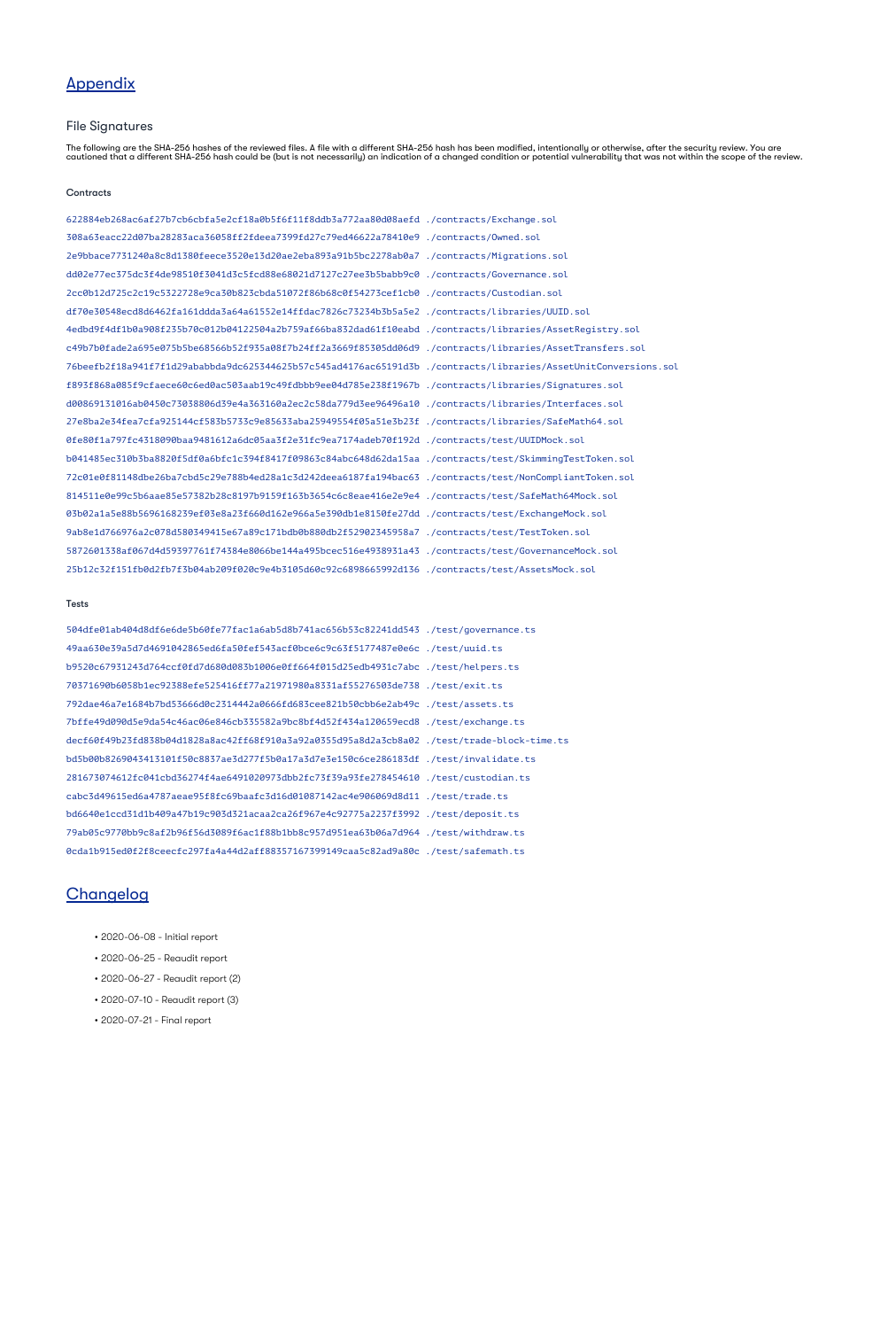# **Appendix**

### File Signatures

The following are the SHA-256 hashes of the reviewed files. A file with a different SHA-256 hash has been modified, intentionally or otherwise, after the security review. You are cautioned that a different SHA-256 hash could be (but is not necessarily) an indication of a changed condition or potential vulnerability that was not within the scope of the review.

#### **Contracts**

622884eb268ac6af27b7cb6cbfa5e2cf18a0b5f6f11f8ddb3a772aa80d08aefd ./contracts/Exchange.sol 308a63eacc22d07ba28283aca36058ff2fdeea7399fd27c79ed46622a78410e9 ./contracts/Owned.sol 2e9bbace7731240a8c8d1380feece3520e13d20ae2eba893a91b5bc2278ab0a7 ./contracts/Migrations.sol dd02e77ec375dc3f4de98510f3041d3c5fcd88e68021d7127c27ee3b5babb9c0 ./contracts/Governance.sol 2cc0b12d725c2c19c5322728e9ca30b823cbda51072f86b68c0f54273cef1cb0 ./contracts/Custodian.sol df70e30548ecd8d6462fa161ddda3a64a61552e14ffdac7826c73234b3b5a5e2 ./contracts/libraries/UUID.sol 4edbd9f4df1b0a908f235b70c012b04122504a2b759af66ba832dad61f10eabd ./contracts/libraries/AssetRegistry.sol c49b7b0fade2a695e075b5be68566b52f935a08f7b24ff2a3669f85305dd06d9 ./contracts/libraries/AssetTransfers.sol 76beefb2f18a941f7f1d29ababbda9dc625344625b57c545ad4176ac65191d3b ./contracts/libraries/AssetUnitConversions.sol f893f868a085f9cfaece60c6ed0ac503aab19c49fdbbb9ee04d785e238f1967b ./contracts/libraries/Signatures.sol d00869131016ab0450c73038806d39e4a363160a2ec2c58da779d3ee96496a10 ./contracts/libraries/Interfaces.sol 27e8ba2e34fea7cfa925144cf583b5733c9e85633aba25949554f05a51e3b23f ./contracts/libraries/SafeMath64.sol 0fe80f1a797fc4318090baa9481612a6dc05aa3f2e31fc9ea7174adeb70f192d ./contracts/test/UUIDMock.sol b041485ec310b3ba8820f5df0a6bfc1c394f8417f09863c84abc648d62da15aa ./contracts/test/SkimmingTestToken.sol 72c01e0f81148dbe26ba7cbd5c29e788b4ed28a1c3d242deea6187fa194bac63 ./contracts/test/NonCompliantToken.sol 814511e0e99c5b6aae85e57382b28c8197b9159f163b3654c6c8eae416e2e9e4 ./contracts/test/SafeMath64Mock.sol 03b02a1a5e88b5696168239ef03e8a23f660d162e966a5e390db1e8150fe27dd ./contracts/test/ExchangeMock.sol 9ab8e1d766976a2c078d580349415e67a89c171bdb0b880db2f52902345958a7 ./contracts/test/TestToken.sol 5872601338af067d4d59397761f74384e8066be144a495bcec516e4938931a43 ./contracts/test/GovernanceMock.sol 25b12c32f151fb0d2fb7f3b04ab209f020c9e4b3105d60c92c6898665992d136 ./contracts/test/AssetsMock.sol

#### Tests

504dfe01ab404d8df6e6de5b60fe77fac1a6ab5d8b741ac656b53c82241dd543 ./test/governance.ts 49aa630e39a5d7d4691042865ed6fa50fef543acf0bce6c9c63f5177487e0e6c ./test/uuid.ts b9520c67931243d764ccf0fd7d680d083b1006e0ff664f015d25edb4931c7abc ./test/helpers.ts 70371690b6058b1ec92388efe525416ff77a21971980a8331af55276503de738 ./test/exit.ts 792dae46a7e1684b7bd53666d0c2314442a0666fd683cee821b50cbb6e2ab49c ./test/assets.ts 7bffe49d090d5e9da54c46ac06e846cb335582a9bc8bf4d52f434a120659ecd8 ./test/exchange.ts decf60f49b23fd838b04d1828a8ac42ff68f910a3a92a0355d95a8d2a3cb8a02 ./test/trade-block-time.ts bd5b00b8269043413101f50c8837ae3d277f5b0a17a3d7e3e150c6ce286183df ./test/invalidate.ts 281673074612fc041cbd36274f4ae6491020973dbb2fc73f39a93fe278454610 ./test/custodian.ts cabc3d49615ed6a4787aeae95f8fc69baafc3d16d01087142ac4e906069d8d11 ./test/trade.ts bd6640e1ccd31d1b409a47b19c903d321acaa2ca26f967e4c92775a2237f3992 ./test/deposit.ts 79ab05c9770bb9c8af2b96f56d3089f6ac1f88b1bb8c957d951ea63b06a7d964 ./test/withdraw.ts 0cda1b915ed0f2f8ceecfc297fa4a44d2aff88357167399149caa5c82ad9a80c ./test/safemath.ts

### **Changelog**

- 2020-06-08 Initial report
- 2020-06-25 Reaudit report
- 2020-06-27 Reaudit report (2)

• 2020-07-10 - Reaudit report (3)

• 2020-07-21 - Final report